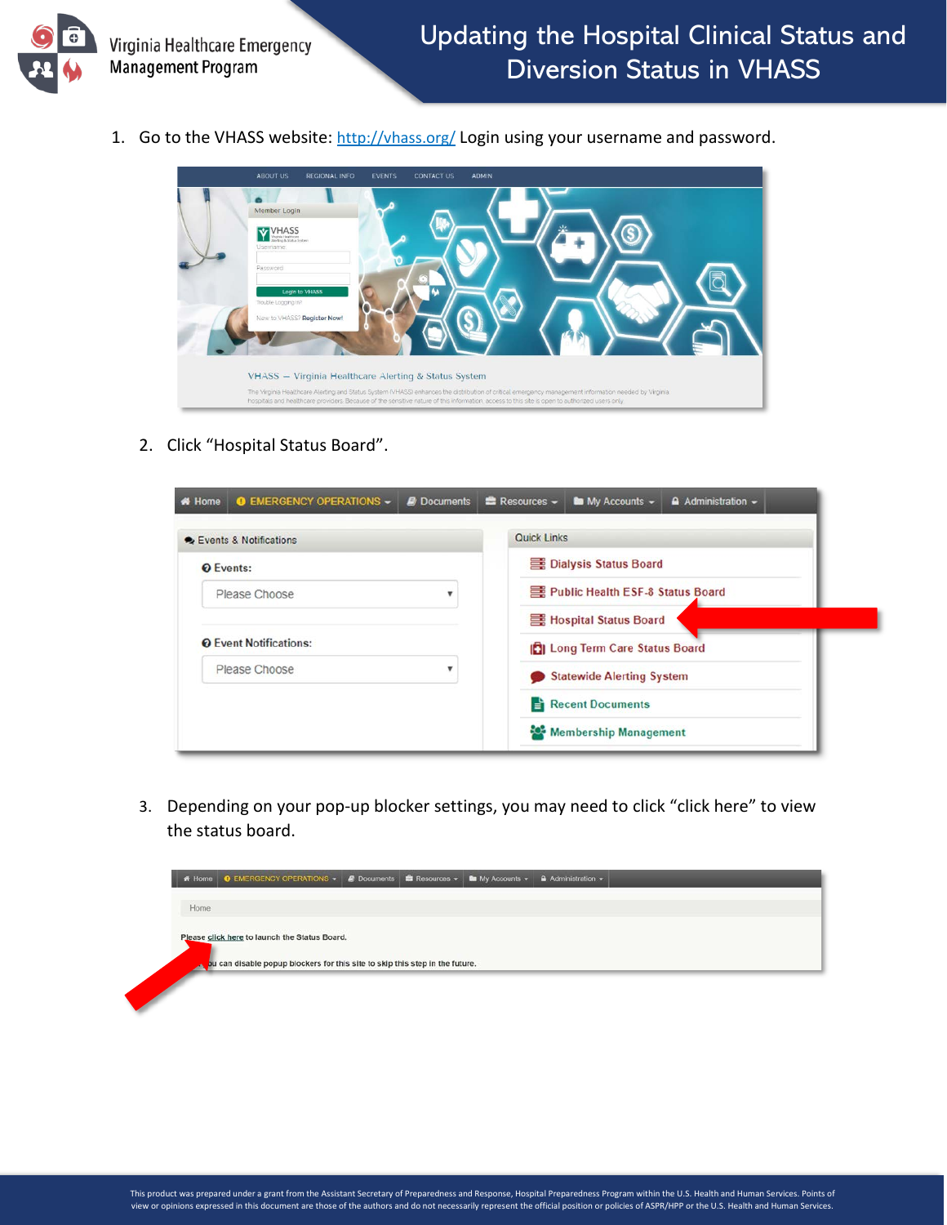

1. Go to the VHASS website:<http://vhass.org/> Login using your username and password.



2. Click "Hospital Status Board".

| Events & Notifications        | <b>Quick Links</b>                    |
|-------------------------------|---------------------------------------|
| <b>O</b> Events:              | Dialysis Status Board                 |
| Please Choose                 | Public Health ESF-8 Status Board      |
|                               | 言 Hospital Status Board               |
| <b>Q</b> Event Notifications: | <b>CI</b> Long Term Care Status Board |
| Please Choose                 | <b>Statewide Alerting System</b>      |
|                               | Recent Documents                      |
|                               | Membership Management                 |

3. Depending on your pop-up blocker settings, you may need to click "click here" to view the status board.